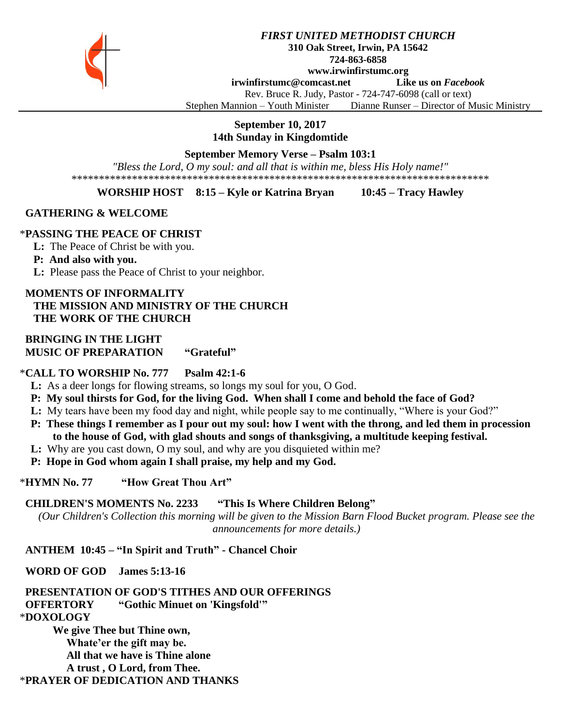

#### *FIRST UNITED METHODIST CHURCH* **310 Oak Street, Irwin, PA 15642 724-863-6858 www.irwinfirstumc.org**

**[irwinfirstumc@comcast.net](mailto:irwinfirstumc@comcast.net) Like us on** *Facebook*

Rev. Bruce R. Judy, Pastor - 724-747-6098 (call or text)

Stephen Mannion – Youth Minister Dianne Runser – Director of Music Ministry

**September 10, 2017**

**14th Sunday in Kingdomtide**

## **September Memory Verse – Psalm 103:1**

*"Bless the Lord, O my soul: and all that is within me, bless His Holy name!"* \*\*\*\*\*\*\*\*\*\*\*\*\*\*\*\*\*\*\*\*\*\*\*\*\*\*\*\*\*\*\*\*\*\*\*\*\*\*\*\*\*\*\*\*\*\*\*\*\*\*\*\*\*\*\*\*\*\*\*\*\*\*\*\*\*\*\*\*\*\*\*\*\*\*\*\*

#### **WORSHIP HOST 8:15 – Kyle or Katrina Bryan 10:45 – Tracy Hawley**

#### **GATHERING & WELCOME**

#### \***PASSING THE PEACE OF CHRIST**

**L:** The Peace of Christ be with you.

#### **P: And also with you.**

**L:** Please pass the Peace of Christ to your neighbor.

# **MOMENTS OF INFORMALITY THE MISSION AND MINISTRY OF THE CHURCH THE WORK OF THE CHURCH**

# **BRINGING IN THE LIGHT MUSIC OF PREPARATION "Grateful"**

#### \***CALL TO WORSHIP No. 777 Psalm 42:1-6**

 **L:** As a deer longs for flowing streams, so longs my soul for you, O God.

- **P: My soul thirsts for God, for the living God. When shall I come and behold the face of God?**
- **L:** My tears have been my food day and night, while people say to me continually, "Where is your God?"
- **P: These things I remember as I pour out my soul: how I went with the throng, and led them in procession to the house of God, with glad shouts and songs of thanksgiving, a multitude keeping festival.**
- **L:** Why are you cast down, O my soul, and why are you disquieted within me?
- **P: Hope in God whom again I shall praise, my help and my God.**

#### \***HYMN No. 77 "How Great Thou Art"**

#### **CHILDREN'S MOMENTS No. 2233 "This Is Where Children Belong"**

*(Our Children's Collection this morning will be given to the Mission Barn Flood Bucket program. Please see the announcements for more details.)*

# **ANTHEM 10:45 – "In Spirit and Truth" - Chancel Choir**

#### **WORD OF GOD James 5:13-16**

 **PRESENTATION OF GOD'S TITHES AND OUR OFFERINGS OFFERTORY "Gothic Minuet on 'Kingsfold'"** \***DOXOLOGY** 

**We give Thee but Thine own, Whate'er the gift may be. All that we have is Thine alone A trust , O Lord, from Thee.** \***PRAYER OF DEDICATION AND THANKS**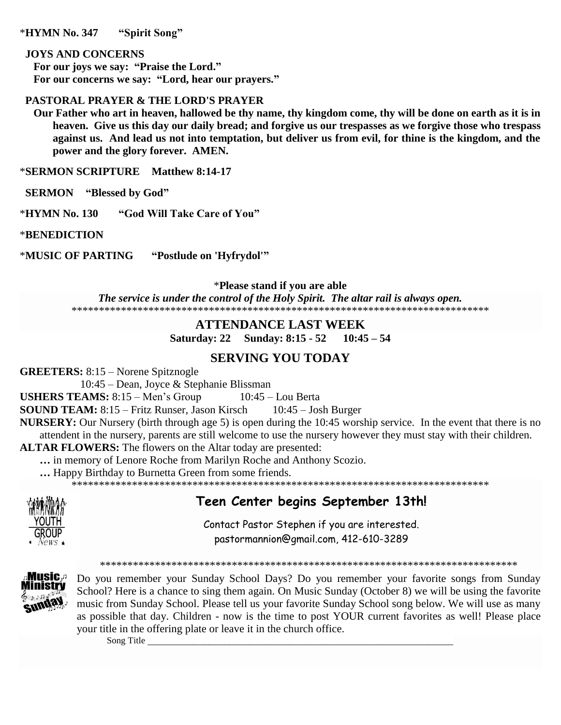\***HYMN No. 347 "Spirit Song"**

#### **JOYS AND CONCERNS**

 **For our joys we say: "Praise the Lord." For our concerns we say: "Lord, hear our prayers."**

# **PASTORAL PRAYER & THE LORD'S PRAYER**

 **Our Father who art in heaven, hallowed be thy name, thy kingdom come, thy will be done on earth as it is in heaven. Give us this day our daily bread; and forgive us our trespasses as we forgive those who trespass against us. And lead us not into temptation, but deliver us from evil, for thine is the kingdom, and the power and the glory forever. AMEN.**

\***SERMON SCRIPTURE Matthew 8:14-17**

 **SERMON "Blessed by God"**

\***HYMN No. 130 "God Will Take Care of You"**

\***BENEDICTION**

\***MUSIC OF PARTING "Postlude on 'Hyfrydol'"**

\***Please stand if you are able**

*The service is under the control of the Holy Spirit. The altar rail is always open.* \*\*\*\*\*\*\*\*\*\*\*\*\*\*\*\*\*\*\*\*\*\*\*\*\*\*\*\*\*\*\*\*\*\*\*\*\*\*\*\*\*\*\*\*\*\*\*\*\*\*\*\*\*\*\*\*\*\*\*\*\*\*\*\*\*\*\*\*\*\*\*\*\*\*\*\*

# **ATTENDANCE LAST WEEK**

**Saturday: 22 Sunday: 8:15 - 52 10:45 – 54**

# **SERVING YOU TODAY**

**GREETERS:** 8:15 – Norene Spitznogle

10:45 – Dean, Joyce & Stephanie Blissman

**USHERS TEAMS:** 8:15 – Men's Group 10:45 – Lou Berta

**SOUND TEAM:** 8:15 – Fritz Runser, Jason Kirsch 10:45 – Josh Burger

**NURSERY:** Our Nursery (birth through age 5) is open during the 10:45 worship service. In the event that there is no attendent in the nursery, parents are still welcome to use the nursery however they must stay with their children.

**ALTAR FLOWERS:** The flowers on the Altar today are presented:

**…** in memory of Lenore Roche from Marilyn Roche and Anthony Scozio.

**…** Happy Birthday to Burnetta Green from some friends.

\*\*\*\*\*\*\*\*\*\*\*\*\*\*\*\*\*\*\*\*\*\*\*\*\*\*\*\*\*\*\*\*\*\*\*\*\*\*\*\*\*\*\*\*\*\*\*\*\*\*\*\*\*\*\*\*\*\*\*\*\*\*\*\*\*\*\*\*\*\*\*\*\*\*\*\*



# **Teen Center begins September 13th!**

Contact Pastor Stephen if you are interested. [pastormannion@gmail.com,](javascript:window.top.ZmObjectManager.__doClickObject(document.getElementById(%22OBJ_PREFIX_DWT1746_com_zimbra_email%22));) 412-610-3289

\*\*\*\*\*\*\*\*\*\*\*\*\*\*\*\*\*\*\*\*\*\*\*\*\*\*\*\*\*\*\*\*\*\*\*\*\*\*\*\*\*\*\*\*\*\*\*\*\*\*\*\*\*\*\*\*\*\*\*\*\*\*\*\*\*\*\*\*\*\*\*\*\*\*\*\*



Do you remember your Sunday School Days? Do you remember your favorite songs from Sunday School? Here is a chance to sing them again. On Music Sunday (October 8) we will be using the favorite music from Sunday School. Please tell us your favorite Sunday School song below. We will use as many as possible that day. Children - now is the time to post YOUR current favorites as well! Please place your title in the offering plate or leave it in the church office.

Song Title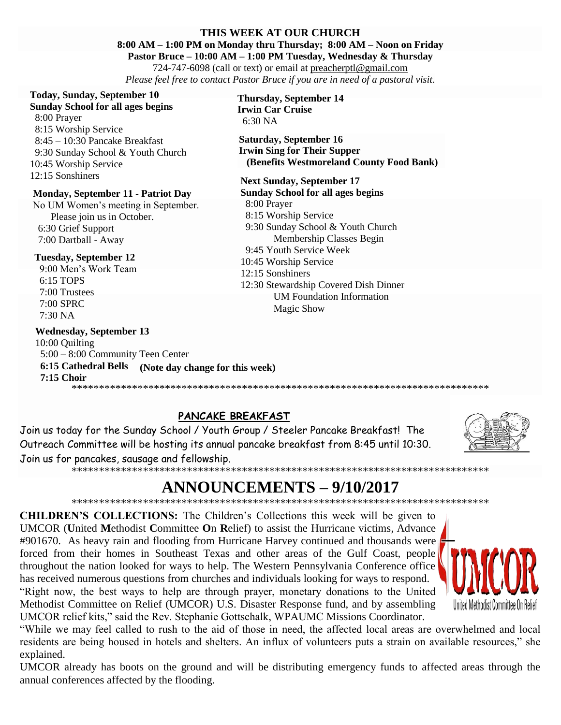#### THIS WEEK AT OUR CHURCH

8:00 AM - 1:00 PM on Monday thru Thursday; 8:00 AM - Noon on Friday

Pastor Bruce – 10:00 AM – 1:00 PM Tuesday, Wednesday & Thursday

724-747-6098 (call or text) or email at preacher ptl@gmail.com Please feel free to contact Pastor Bruce if you are in need of a pastoral visit.

# **Today, Sunday, September 10**

#### **Sunday School for all ages begins**

8:00 Prayer 8:15 Worship Service  $8:45 - 10:30$  Pancake Breakfast 9:30 Sunday School & Youth Church 10:45 Worship Service 12:15 Sonshiners

# **Monday, September 11 - Patriot Day**

No UM Women's meeting in September. Please join us in October. 6:30 Grief Support 7:00 Dartball - Away

#### **Tuesday, September 12**

9:00 Men's Work Team 6:15 TOPS 7:00 Trustees 7:00 SPRC 7:30 NA

# **Wednesday, September 13**

10:00 Quilting 5:00 - 8:00 Community Teen Center 6:15 Cathedral Bells (Note day change for this week)  $7:15$  Choir 

#### **Thursday, September 14 Irwin Car Cruise**  $6:30\text{ NA}$

**Saturday, September 16 Irwin Sing for Their Supper** (Benefits Westmoreland County Food Bank)

#### **Next Sunday, September 17**

**Sunday School for all ages begins** 8:00 Prayer 8:15 Worship Service 9:30 Sunday School & Youth Church Membership Classes Begin 9:45 Youth Service Week 10:45 Worship Service 12:15 Sonshiners 12:30 Stewardship Covered Dish Dinner **UM Foundation Information Magic Show** 

# PANCAKE BREAKFAST

Join us today for the Sunday School / Youth Group / Steeler Pancake Breakfast! The Outreach Committee will be hosting its annual pancake breakfast from 8:45 until 10:30. Join us for pancakes, sausage and fellowship. 



# **ANNOUNCEMENTS - 9/10/2017**

**CHILDREN'S COLLECTIONS:** The Children's Collections this week will be given to UMCOR (United Methodist Committee On Relief) to assist the Hurricane victims, Advance #901670. As heavy rain and flooding from Hurricane Harvey continued and thousands were forced from their homes in Southeast Texas and other areas of the Gulf Coast, people throughout the nation looked for ways to help. The Western Pennsylvania Conference office has received numerous questions from churches and individuals looking for ways to respond. "Right now, the best ways to help are through prayer, monetary donations to the United Methodist Committee on Relief (UMCOR) U.S. Disaster Response fund, and by assembling UMCOR relief kits," said the Rev. Stephanie Gottschalk, WPAUMC Missions Coordinator.



"While we may feel called to rush to the aid of those in need, the affected local areas are overwhelmed and local residents are being housed in hotels and shelters. An influx of volunteers puts a strain on available resources," she explained.

UMCOR already has boots on the ground and will be distributing emergency funds to affected areas through the annual conferences affected by the flooding.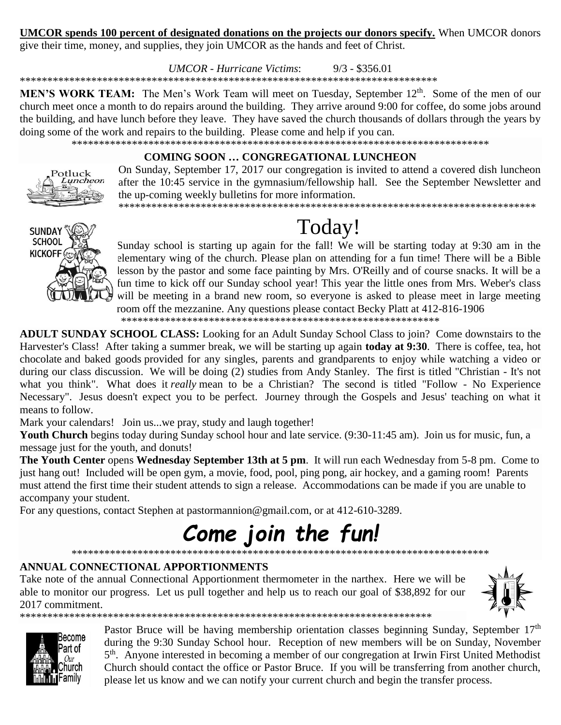# **UMCOR** spends 100 percent of designated donations on the projects our donors specify. When UMCOR donors

give their time, money, and supplies, they join UMCOR as the hands and feet of Christ.

**UMCOR** - Hurricane Victims:  $9/3 - $356.01$ 

MEN'S WORK TEAM: The Men's Work Team will meet on Tuesday, September 12<sup>th</sup>. Some of the men of our church meet once a month to do repairs around the building. They arrive around 9:00 for coffee, do some jobs around the building, and have lunch before they leave. They have saved the church thousands of dollars through the years by doing some of the work and repairs to the building. Please come and help if you can.

# **COMING SOON ... CONGREGATIONAL LUNCHEON**

On Sunday, September 17, 2017 our congregation is invited to attend a covered dish luncheon after the 10:45 service in the gymnasium/fellowship hall. See the September Newsletter and the up-coming weekly bulletins for more information.



Potluck Luncheon

# Today!

Sunday school is starting up again for the fall! We will be starting today at 9:30 am in the elementary wing of the church. Please plan on attending for a fun time! There will be a Bible lesson by the pastor and some face painting by Mrs. O'Reilly and of course snacks. It will be a fun time to kick off our Sunday school year! This year the little ones from Mrs. Weber's class will be meeting in a brand new room, so everyone is asked to please meet in large meeting room off the mezzanine. Any questions please contact Becky Platt at 412-816-1906

**ADULT SUNDAY SCHOOL CLASS:** Looking for an Adult Sunday School Class to join? Come downstairs to the Harvester's Class! After taking a summer break, we will be starting up again **today at 9:30**. There is coffee, tea, hot chocolate and baked goods provided for any singles, parents and grandparents to enjoy while watching a video or during our class discussion. We will be doing (2) studies from Andy Stanley. The first is titled "Christian - It's not what you think". What does it really mean to be a Christian? The second is titled "Follow - No Experience Necessary". Jesus doesn't expect you to be perfect. Journey through the Gospels and Jesus' teaching on what it means to follow.

Mark your calendars! Join us...we pray, study and laugh together!

Youth Church begins today during Sunday school hour and late service. (9:30-11:45 am). Join us for music, fun, a message just for the youth, and donuts!

The Youth Center opens Wednesday September 13th at 5 pm. It will run each Wednesday from 5-8 pm. Come to just hang out! Included will be open gym, a movie, food, pool, ping pong, air hockey, and a gaming room! Parents must attend the first time their student attends to sign a release. Accommodations can be made if you are unable to accompany your student.

For any questions, contact Stephen at pastormannion@gmail.com, or at 412-610-3289.

#### Come join the fun! \*\*\*\*\*\*\*\*\*\*\*\*\*\*\*\*\*\*\*\*\*\*\*\*\*\*\*

# ANNUAL CONNECTIONAL APPORTIONMENTS

Take note of the annual Connectional Apportionment thermometer in the narthex. Here we will be able to monitor our progress. Let us pull together and help us to reach our goal of \$38,892 for our 2017 commitment. 





Pastor Bruce will be having membership orientation classes beginning Sunday, September 17th during the 9:30 Sunday School hour. Reception of new members will be on Sunday, November 5<sup>th</sup>. Anyone interested in becoming a member of our congregation at Irwin First United Methodist Church should contact the office or Pastor Bruce. If you will be transferring from another church, please let us know and we can notify your current church and begin the transfer process.